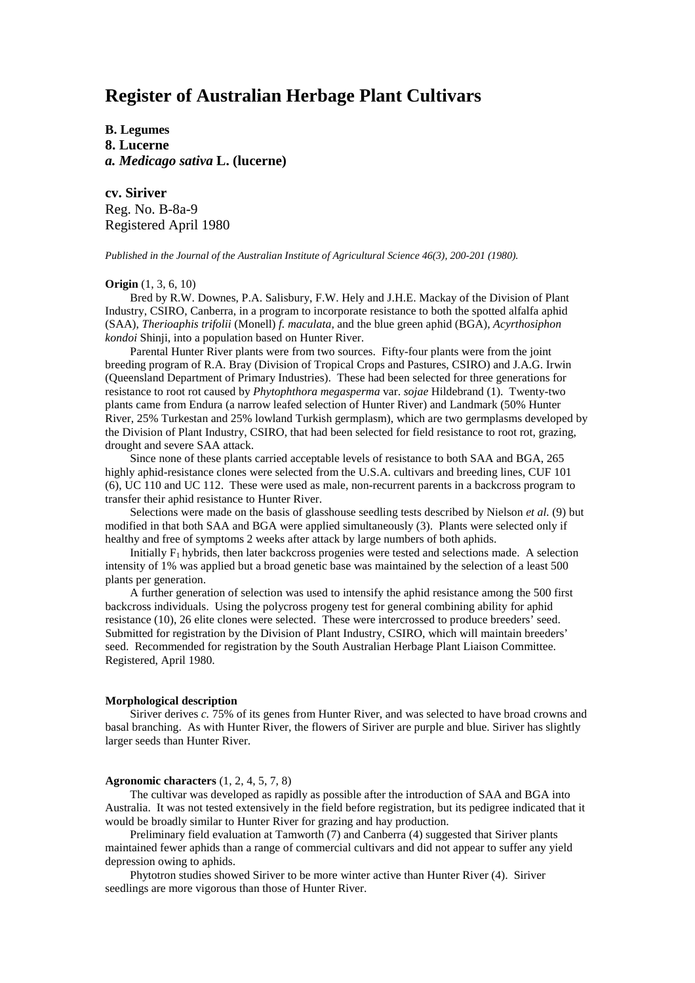# **Register of Australian Herbage Plant Cultivars**

**B. Legumes 8. Lucerne** *a. Medicago sativa* **L. (lucerne)**

**cv. Siriver** Reg. No. B-8a-9 Registered April 1980

*Published in the Journal of the Australian Institute of Agricultural Science 46(3), 200-201 (1980).*

### **Origin** (1, 3, 6, 10)

Bred by R.W. Downes, P.A. Salisbury, F.W. Hely and J.H.E. Mackay of the Division of Plant Industry, CSIRO, Canberra, in a program to incorporate resistance to both the spotted alfalfa aphid (SAA), *Therioaphis trifolii* (Monell) *f. maculata,* and the blue green aphid (BGA), *Acyrthosiphon kondoi* Shinji, into a population based on Hunter River.

Parental Hunter River plants were from two sources. Fifty-four plants were from the joint breeding program of R.A. Bray (Division of Tropical Crops and Pastures, CSIRO) and J.A.G. Irwin (Queensland Department of Primary Industries). These had been selected for three generations for resistance to root rot caused by *Phytophthora megasperma* var. *sojae* Hildebrand (1). Twenty-two plants came from Endura (a narrow leafed selection of Hunter River) and Landmark (50% Hunter River, 25% Turkestan and 25% lowland Turkish germplasm), which are two germplasms developed by the Division of Plant Industry, CSIRO, that had been selected for field resistance to root rot, grazing, drought and severe SAA attack.

Since none of these plants carried acceptable levels of resistance to both SAA and BGA, 265 highly aphid-resistance clones were selected from the U.S.A. cultivars and breeding lines, CUF 101 (6), UC 110 and UC 112. These were used as male, non-recurrent parents in a backcross program to transfer their aphid resistance to Hunter River.

Selections were made on the basis of glasshouse seedling tests described by Nielson *et al.* (9) but modified in that both SAA and BGA were applied simultaneously (3). Plants were selected only if healthy and free of symptoms 2 weeks after attack by large numbers of both aphids.

Initially  $F_1$  hybrids, then later backcross progenies were tested and selections made. A selection intensity of 1% was applied but a broad genetic base was maintained by the selection of a least 500 plants per generation.

A further generation of selection was used to intensify the aphid resistance among the 500 first backcross individuals. Using the polycross progeny test for general combining ability for aphid resistance (10), 26 elite clones were selected. These were intercrossed to produce breeders' seed. Submitted for registration by the Division of Plant Industry, CSIRO, which will maintain breeders' seed. Recommended for registration by the South Australian Herbage Plant Liaison Committee. Registered, April 1980.

### **Morphological description**

Siriver derives *c.* 75% of its genes from Hunter River, and was selected to have broad crowns and basal branching. As with Hunter River, the flowers of Siriver are purple and blue. Siriver has slightly larger seeds than Hunter River.

### **Agronomic characters** (1, 2, 4, 5, 7, 8)

The cultivar was developed as rapidly as possible after the introduction of SAA and BGA into Australia. It was not tested extensively in the field before registration, but its pedigree indicated that it would be broadly similar to Hunter River for grazing and hay production.

Preliminary field evaluation at Tamworth (7) and Canberra (4) suggested that Siriver plants maintained fewer aphids than a range of commercial cultivars and did not appear to suffer any yield depression owing to aphids.

Phytotron studies showed Siriver to be more winter active than Hunter River (4). Siriver seedlings are more vigorous than those of Hunter River.